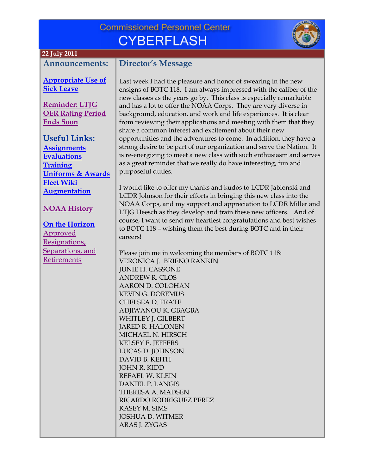| <b>Commissioned Personnel Center</b> |  |
|--------------------------------------|--|
| <b>CYBERFLASH</b>                    |  |

**Director's Message** 



#### **22 July 2011**

#### **Announcements:**

**Appropriate Use of Sick Leave**

**Reminder: LTJG OER Rating Period Ends Soon**

**Useful Links: Assignments Evaluations Training Uniforms & Awards Fleet Wiki Augmentation**

#### **NOAA History**

**On the Horizon** Approved Resignations, Separations, and Retirements

Last week I had the pleasure and honor of swearing in the new ensigns of BOTC 118. I am always impressed with the caliber of the new classes as the years go by. This class is especially remarkable and has a lot to offer the NOAA Corps. They are very diverse in background, education, and work and life experiences. It is clear from reviewing their applications and meeting with them that they share a common interest and excitement about their new opportunities and the adventures to come. In addition, they have a strong desire to be part of our organization and serve the Nation. It is re-energizing to meet a new class with such enthusiasm and serves as a great reminder that we really do have interesting, fun and purposeful duties.

I would like to offer my thanks and kudos to LCDR Jablonski and LCDR Johnson for their efforts in bringing this new class into the NOAA Corps, and my support and appreciation to LCDR Miller and LTJG Heesch as they develop and train these new officers. And of course, I want to send my heartiest congratulations and best wishes to BOTC 118 – wishing them the best during BOTC and in their careers!

Please join me in welcoming the members of BOTC 118: VERONICA J. BRIENO RANKIN JUNIE H. CASSONE ANDREW R. CLOS AARON D. COLOHAN KEVIN G. DOREMUS CHELSEA D. FRATE ADJIWANOU K. GBAGBA WHITLEY J. GILBERT JARED R. HALONEN MICHAEL N. HIRSCH KELSEY E. JEFFERS LUCAS D. JOHNSON DAVID B. KEITH JOHN R. KIDD REFAEL W. KLEIN DANIEL P. LANGIS THERESA A. MADSEN RICARDO RODRIGUEZ PEREZ KASEY M. SIMS JOSHUA D. WITMER

ARAS J. ZYGAS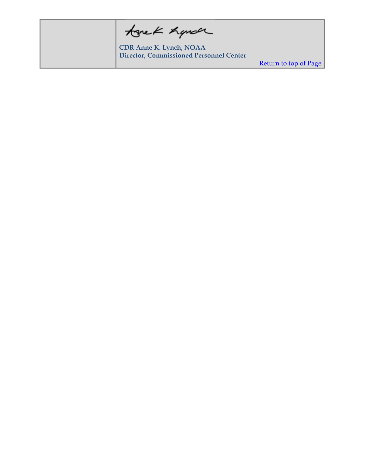tonek hande

**CDR Anne K. Lynch, NOAA Director, Commissioned Personnel Center** 

Return to top of Page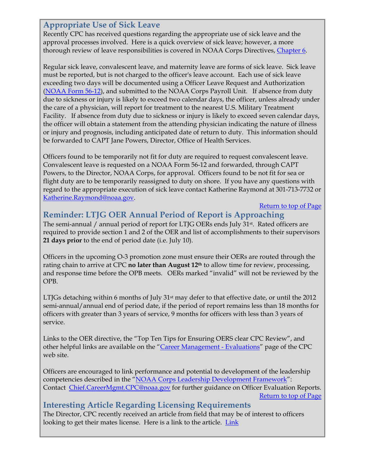## **Appropriate Use of Sick Leave**

Recently CPC has received questions regarding the appropriate use of sick leave and the approval processes involved. Here is a quick overview of sick leave; however, a more thorough review of leave responsibilities is covered in NOAA Corps Directives, Chapter 6.

Regular sick leave, convalescent leave, and maternity leave are forms of sick leave. Sick leave must be reported, but is not charged to the officer's leave account. Each use of sick leave exceeding two days will be documented using a Officer Leave Request and Authorization (NOAA Form 56-12), and submitted to the NOAA Corps Payroll Unit. If absence from duty due to sickness or injury is likely to exceed two calendar days, the officer, unless already under the care of a physician, will report for treatment to the nearest U.S. Military Treatment Facility. If absence from duty due to sickness or injury is likely to exceed seven calendar days, the officer will obtain a statement from the attending physician indicating the nature of illness or injury and prognosis, including anticipated date of return to duty. This information should be forwarded to CAPT Jane Powers, Director, Office of Health Services.

Officers found to be temporarily not fit for duty are required to request convalescent leave. Convalescent leave is requested on a NOAA Form 56-12 and forwarded, through CAPT Powers, to the Director, NOAA Corps, for approval. Officers found to be not fit for sea or flight duty are to be temporarily reassigned to duty on shore. If you have any questions with regard to the appropriate execution of sick leave contact Katherine Raymond at 301-713-7732 or Katherine.Raymond@noaa.gov.

#### Return to top of Page

# **Reminder: LTJG OER Annual Period of Report is Approaching**

The semi-annual / annual period of report for LTJG OERs ends July 31st. Rated officers are required to provide section 1 and 2 of the OER and list of accomplishments to their supervisors **21 days prior** to the end of period date (i.e. July 10).

Officers in the upcoming O-3 promotion zone must ensure their OERs are routed through the rating chain to arrive at CPC **no later than August 12th** to allow time for review, processing, and response time before the OPB meets. OERs marked "invalid" will not be reviewed by the OPB.

LTJGs detaching within 6 months of July 31<sup>st</sup> may defer to that effective date, or until the 2012 semi-annual/annual end of period date, if the period of report remains less than 18 months for officers with greater than 3 years of service, 9 months for officers with less than 3 years of service.

Links to the OER directive, the "Top Ten Tips for Ensuring OERS clear CPC Review", and other helpful links are available on the "Career Management - Evaluations" page of the CPC web site.

Officers are encouraged to link performance and potential to development of the leadership competencies described in the "NOAA Corps Leadership Development Framework": Contact Chief.CareerMgmt.CPC@noaa.gov for further guidance on Officer Evaluation Reports. Return to top of Page

# **Interesting Article Regarding Licensing Requirements**

The Director, CPC recently received an article from field that may be of interest to officers looking to get their mates license. Here is a link to the article. Link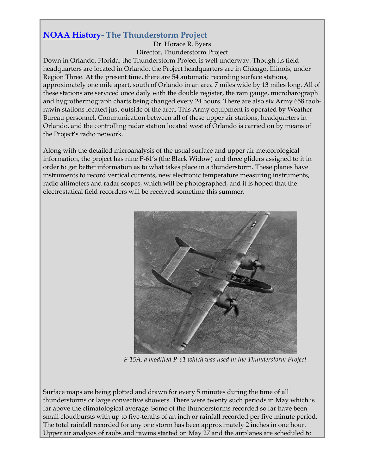# **NOAA History- The Thunderstorm Project**

#### Dr. Horace R. Byers Director, Thunderstorm Project

Down in Orlando, Florida, the Thunderstorm Project is well underway. Though its field headquarters are located in Orlando, the Project headquarters are in Chicago, Illinois, under Region Three. At the present time, there are 54 automatic recording surface stations, approximately one mile apart, south of Orlando in an area 7 miles wide by 13 miles long. All of these stations are serviced once daily with the double register, the rain gauge, microbarograph and hygrothermograph charts being changed every 24 hours. There are also six Army 658 raobrawin stations located just outside of the area. This Army equipment is operated by Weather Bureau personnel. Communication between all of these upper air stations, headquarters in Orlando, and the controlling radar station located west of Orlando is carried on by means of the Project's radio network.

Along with the detailed microanalysis of the usual surface and upper air meteorological information, the project has nine P-61's (the Black Widow) and three gliders assigned to it in order to get better information as to what takes place in a thunderstorm. These planes have instruments to record vertical currents, new electronic temperature measuring instruments, radio altimeters and radar scopes, which will be photographed, and it is hoped that the electrostatical field recorders will be received sometime this summer.



*F-15A, a modified P-61 which was used in the Thunderstorm Project*

Surface maps are being plotted and drawn for every 5 minutes during the time of all thunderstorms or large convective showers. There were twenty such periods in May which is far above the climatological average. Some of the thunderstorms recorded so far have been small cloudbursts with up to five-tenths of an inch or rainfall recorded per five minute period. The total rainfall recorded for any one storm has been approximately 2 inches in one hour. Upper air analysis of raobs and rawins started on May 27 and the airplanes are scheduled to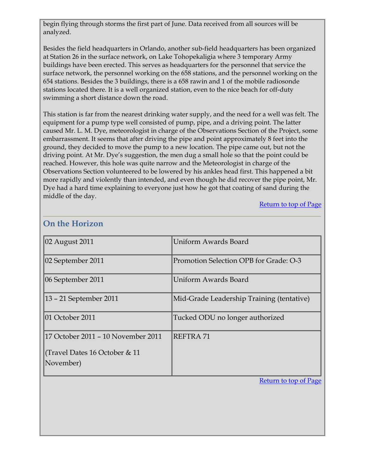begin flying through storms the first part of June. Data received from all sources will be analyzed.

Besides the field headquarters in Orlando, another sub-field headquarters has been organized at Station 26 in the surface network, on Lake Tohopekaligia where 3 temporary Army buildings have been erected. This serves as headquarters for the personnel that service the surface network, the personnel working on the 658 stations, and the personnel working on the 654 stations. Besides the 3 buildings, there is a 658 rawin and 1 of the mobile radiosonde stations located there. It is a well organized station, even to the nice beach for off-duty swimming a short distance down the road.

This station is far from the nearest drinking water supply, and the need for a well was felt. The equipment for a pump type well consisted of pump, pipe, and a driving point. The latter caused Mr. L. M. Dye, meteorologist in charge of the Observations Section of the Project, some embarrassment. It seems that after driving the pipe and point approximately 8 feet into the ground, they decided to move the pump to a new location. The pipe came out, but not the driving point. At Mr. Dye's suggestion, the men dug a small hole so that the point could be reached. However, this hole was quite narrow and the Meteorologist in charge of the Observations Section volunteered to be lowered by his ankles head first. This happened a bit more rapidly and violently than intended, and even though he did recover the pipe point, Mr. Dye had a hard time explaining to everyone just how he got that coating of sand during the middle of the day.

Return to top of Page

| 02 August 2011                                                                  | Uniform Awards Board                      |  |
|---------------------------------------------------------------------------------|-------------------------------------------|--|
| 02 September 2011                                                               | Promotion Selection OPB for Grade: O-3    |  |
| 06 September 2011                                                               | Uniform Awards Board                      |  |
| 13 - 21 September 2011                                                          | Mid-Grade Leadership Training (tentative) |  |
| 01 October 2011                                                                 | Tucked ODU no longer authorized           |  |
| 17 October 2011 – 10 November 2011<br>Travel Dates 16 October & 11<br>November) | REFTRA 71                                 |  |
| Return to top of Page                                                           |                                           |  |

### **On the Horizon**

Return to top of Page